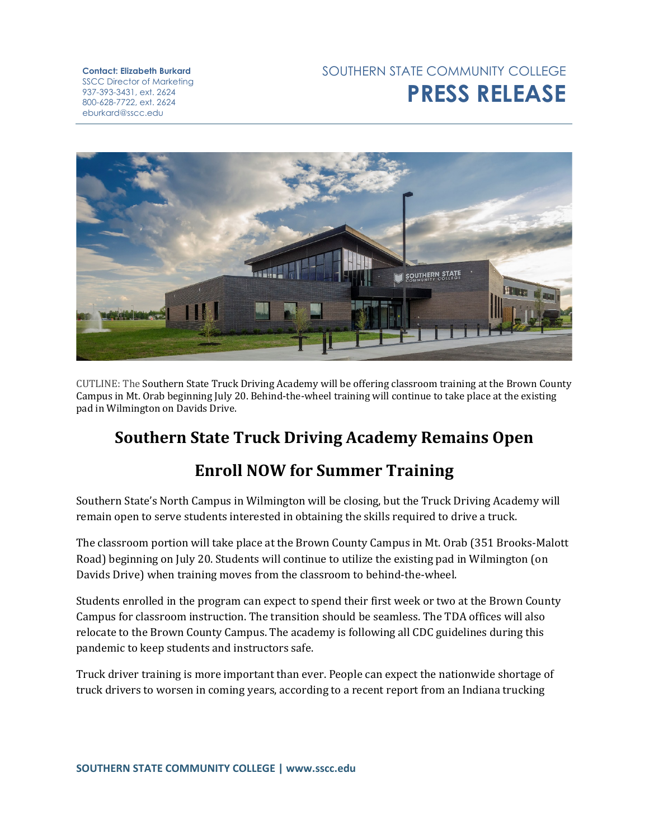## **Contact: Elizabeth Burkard** SSCC Director of Marketing 937-393-3431, ext. 2624 800-628-7722, ext. 2624 eburkard@sscc.edu

## SOUTHERN STATE COMMUNITY COLLEGE **PRESS RELEASE**



CUTLINE: The Southern State Truck Driving Academy will be offering classroom training at the Brown County Campus in Mt. Orab beginning July 20. Behind-the-wheel training will continue to take place at the existing pad in Wilmington on Davids Drive.

## **Southern State Truck Driving Academy Remains Open**

## **Enroll NOW for Summer Training**

Southern State's North Campus in Wilmington will be closing, but the Truck Driving Academy will remain open to serve students interested in obtaining the skills required to drive a truck.

The classroom portion will take place at the Brown County Campus in Mt. Orab (351 Brooks-Malott Road) beginning on July 20. Students will continue to utilize the existing pad in Wilmington (on Davids Drive) when training moves from the classroom to behind-the-wheel.

Students enrolled in the program can expect to spend their first week or two at the Brown County Campus for classroom instruction. The transition should be seamless. The TDA offices will also relocate to the Brown County Campus. The academy is following all CDC guidelines during this pandemic to keep students and instructors safe.

Truck driver training is more important than ever. People can expect the nationwide shortage of truck drivers to worsen in coming years, according to a recent report from an Indiana trucking